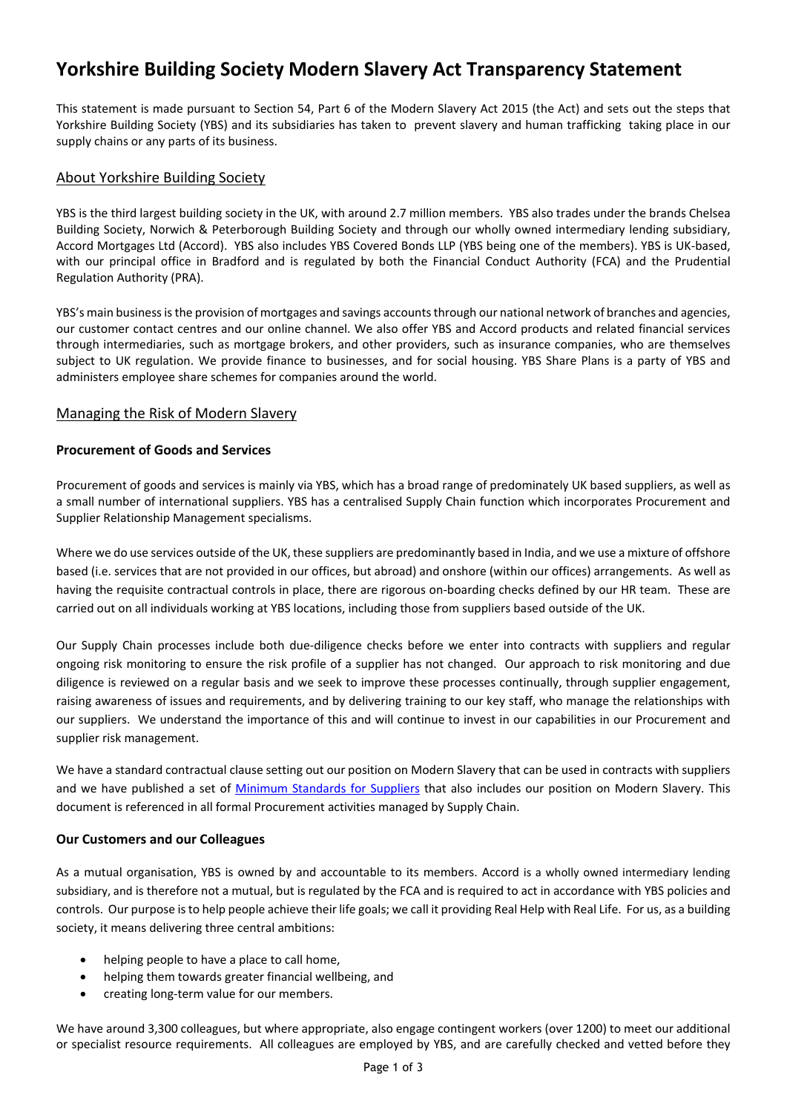# **Yorkshire Building Society Modern Slavery Act Transparency Statement**

This statement is made pursuant to Section 54, Part 6 of the Modern Slavery Act 2015 (the Act) and sets out the steps that Yorkshire Building Society (YBS) and its subsidiaries has taken to prevent slavery and human trafficking taking place in our supply chains or any parts of its business.

## About Yorkshire Building Society

YBS is the third largest building society in the UK, with around 2.7 million members. YBS also trades under the brands Chelsea Building Society, Norwich & Peterborough Building Society and through our wholly owned intermediary lending subsidiary, Accord Mortgages Ltd (Accord). YBS also includes YBS Covered Bonds LLP (YBS being one of the members). YBS is UK-based, with our principal office in Bradford and is regulated by both the Financial Conduct Authority (FCA) and the Prudential Regulation Authority (PRA).

YBS's main business is the provision of mortgages and savings accounts through our national network of branches and agencies, our customer contact centres and our online channel. We also offer YBS and Accord products and related financial services through intermediaries, such as mortgage brokers, and other providers, such as insurance companies, who are themselves subject to UK regulation. We provide finance to businesses, and for social housing. YBS Share Plans is a party of YBS and administers employee share schemes for companies around the world.

# Managing the Risk of Modern Slavery

## **Procurement of Goods and Services**

Procurement of goods and services is mainly via YBS, which has a broad range of predominately UK based suppliers, as well as a small number of international suppliers. YBS has a centralised Supply Chain function which incorporates Procurement and Supplier Relationship Management specialisms.

Where we do use services outside of the UK, these suppliers are predominantly based in India, and we use a mixture of offshore based (i.e. services that are not provided in our offices, but abroad) and onshore (within our offices) arrangements. As well as having the requisite contractual controls in place, there are rigorous on-boarding checks defined by our HR team. These are carried out on all individuals working at YBS locations, including those from suppliers based outside of the UK.

Our Supply Chain processes include both due-diligence checks before we enter into contracts with suppliers and regular ongoing risk monitoring to ensure the risk profile of a supplier has not changed. Our approach to risk monitoring and due diligence is reviewed on a regular basis and we seek to improve these processes continually, through supplier engagement, raising awareness of issues and requirements, and by delivering training to our key staff, who manage the relationships with our suppliers. We understand the importance of this and will continue to invest in our capabilities in our Procurement and supplier risk management.

We have a standard contractual clause setting out our position on Modern Slavery that can be used in contracts with suppliers and we have published a set of [Minimum Standards for Suppliers](https://www.ybs.co.uk/your-society/inside-your-society/corporate-governance/policies/index.html) that also includes our position on Modern Slavery. This document is referenced in all formal Procurement activities managed by Supply Chain.

#### **Our Customers and our Colleagues**

As a mutual organisation, YBS is owned by and accountable to its members. Accord is a wholly owned intermediary lending subsidiary, and is therefore not a mutual, but is regulated by the FCA and is required to act in accordance with YBS policies and controls. Our purpose is to help people achieve their life goals; we call it providing Real Help with Real Life. For us, as a building society, it means delivering three central ambitions:

- helping people to have a place to call home,
- helping them towards greater financial wellbeing, and
- creating long-term value for our members.

We have around 3,300 colleagues, but where appropriate, also engage contingent workers (over 1200) to meet our additional or specialist resource requirements. All colleagues are employed by YBS, and are carefully checked and vetted before they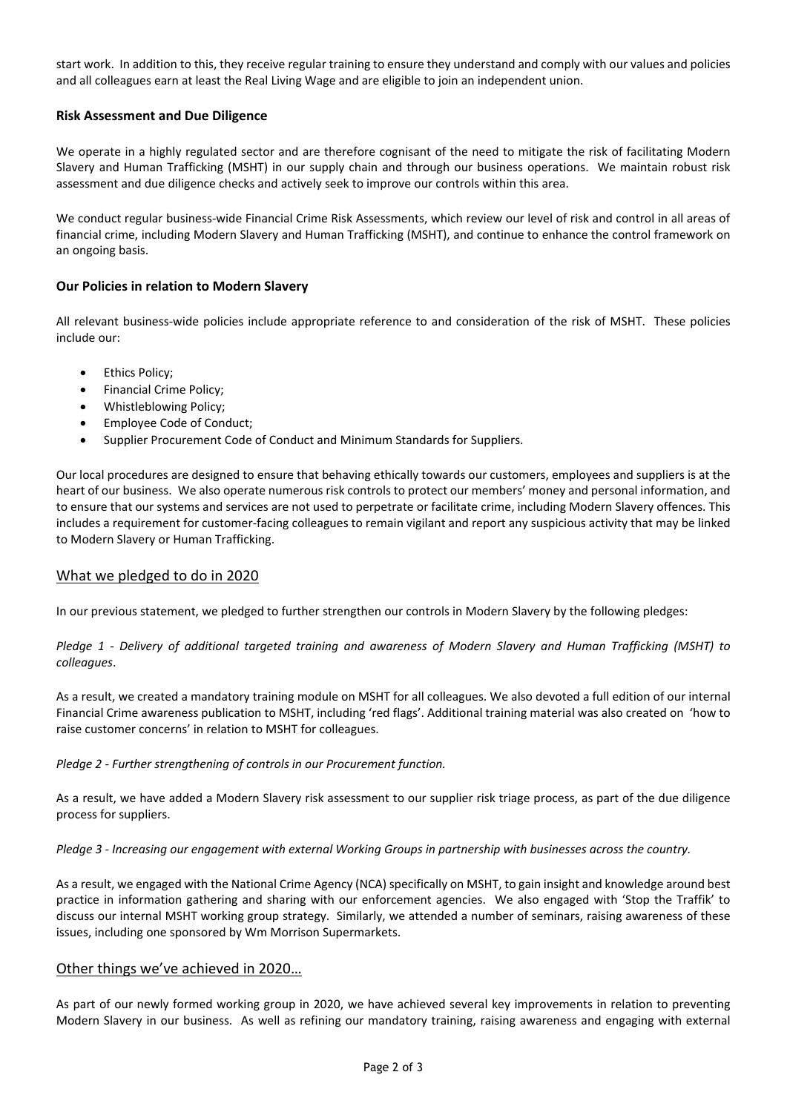start work. In addition to this, they receive regular training to ensure they understand and comply with our values and policies and all colleagues earn at least the Real Living Wage and are eligible to join an independent union.

#### **Risk Assessment and Due Diligence**

We operate in a highly regulated sector and are therefore cognisant of the need to mitigate the risk of facilitating Modern Slavery and Human Trafficking (MSHT) in our supply chain and through our business operations. We maintain robust risk assessment and due diligence checks and actively seek to improve our controls within this area.

We conduct regular business-wide Financial Crime Risk Assessments, which review our level of risk and control in all areas of financial crime, including Modern Slavery and Human Trafficking (MSHT), and continue to enhance the control framework on an ongoing basis.

#### **Our Policies in relation to Modern Slavery**

All relevant business-wide policies include appropriate reference to and consideration of the risk of MSHT. These policies include our:

- Ethics Policy;
- Financial Crime Policy;
- Whistleblowing Policy;
- Employee Code of Conduct;
- Supplier Procurement Code of Conduct and Minimum Standards for Suppliers.

Our local procedures are designed to ensure that behaving ethically towards our customers, employees and suppliers is at the heart of our business. We also operate numerous risk controls to protect our members' money and personal information, and to ensure that our systems and services are not used to perpetrate or facilitate crime, including Modern Slavery offences. This includes a requirement for customer-facing colleagues to remain vigilant and report any suspicious activity that may be linked to Modern Slavery or Human Trafficking.

## What we pledged to do in 2020

In our previous statement, we pledged to further strengthen our controls in Modern Slavery by the following pledges:

*Pledge 1 - Delivery of additional targeted training and awareness of Modern Slavery and Human Trafficking (MSHT) to colleagues*.

As a result, we created a mandatory training module on MSHT for all colleagues. We also devoted a full edition of our internal Financial Crime awareness publication to MSHT, including 'red flags'. Additional training material was also created on 'how to raise customer concerns' in relation to MSHT for colleagues.

*Pledge 2 - Further strengthening of controls in our Procurement function.*

As a result, we have added a Modern Slavery risk assessment to our supplier risk triage process, as part of the due diligence process for suppliers.

*Pledge 3 - Increasing our engagement with external Working Groups in partnership with businesses across the country.*

As a result, we engaged with the National Crime Agency (NCA) specifically on MSHT, to gain insight and knowledge around best practice in information gathering and sharing with our enforcement agencies. We also engaged with 'Stop the Traffik' to discuss our internal MSHT working group strategy. Similarly, we attended a number of seminars, raising awareness of these issues, including one sponsored by Wm Morrison Supermarkets.

#### Other things we've achieved in 2020…

As part of our newly formed working group in 2020, we have achieved several key improvements in relation to preventing Modern Slavery in our business. As well as refining our mandatory training, raising awareness and engaging with external